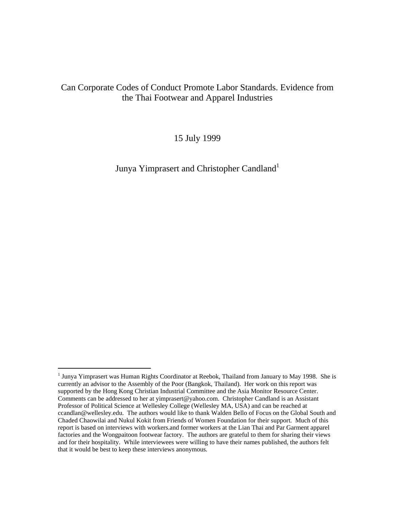## Can Corporate Codes of Conduct Promote Labor Standards. Evidence from the Thai Footwear and Apparel Industries

15 July 1999

Junya Yimprasert and Christopher Candland<sup>1</sup>

<sup>&</sup>lt;sup>1</sup> Junya Yimprasert was Human Rights Coordinator at Reebok, Thailand from January to May 1998. She is currently an advisor to the Assembly of the Poor (Bangkok, Thailand). Her work on this report was supported by the Hong Kong Christian Industrial Committee and the Asia Monitor Resource Center. Comments can be addressed to her at yimprasert@yahoo.com. Christopher Candland is an Assistant Professor of Political Science at Wellesley College (Wellesley MA, USA) and can be reached at ccandlan@wellesley.edu. The authors would like to thank Walden Bello of Focus on the Global South and Chaded Chaowilai and Nukul Kokit from Friends of Women Foundation for their support. Much of this report is based on interviews with workers.and former workers at the Lian Thai and Par Garment apparel factories and the Wongpaitoon footwear factory. The authors are grateful to them for sharing their views and for their hospitality. While interviewees were willing to have their names published, the authors felt that it would be best to keep these interviews anonymous.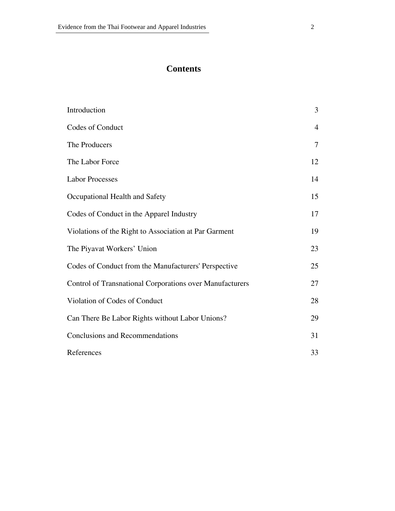# **Contents**

| Introduction                                             | 3              |
|----------------------------------------------------------|----------------|
| Codes of Conduct                                         | $\overline{4}$ |
| The Producers                                            | 7              |
| The Labor Force                                          | 12             |
| <b>Labor Processes</b>                                   | 14             |
| Occupational Health and Safety                           | 15             |
| Codes of Conduct in the Apparel Industry                 | 17             |
| Violations of the Right to Association at Par Garment    | 19             |
| The Piyavat Workers' Union                               | 23             |
| Codes of Conduct from the Manufacturers' Perspective     | 25             |
| Control of Transnational Corporations over Manufacturers | 27             |
| Violation of Codes of Conduct                            | 28             |
| Can There Be Labor Rights without Labor Unions?          | 29             |
| <b>Conclusions and Recommendations</b>                   | 31             |
| References                                               | 33             |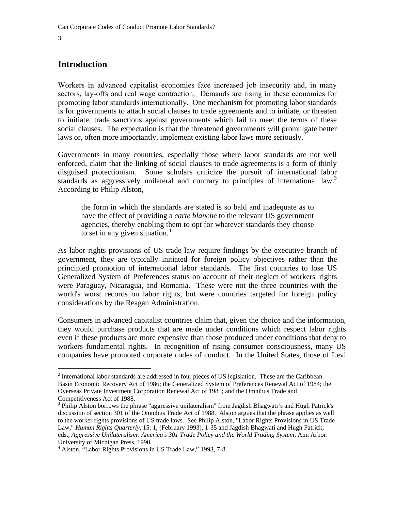#### **Introduction**

Workers in advanced capitalist economies face increased job insecurity and, in many sectors, lay-offs and real wage contraction. Demands are rising in these economies for promoting labor standards internationally. One mechanism for promoting labor standards is for governments to attach social clauses to trade agreements and to initiate, or threaten to initiate, trade sanctions against governments which fail to meet the terms of these social clauses. The expectation is that the threatened governments will promulgate better laws or, often more importantly, implement existing labor laws more seriously.<sup>2</sup>

Governments in many countries, especially those where labor standards are not well enforced, claim that the linking of social clauses to trade agreements is a form of thinly disguised protectionism. Some scholars criticize the pursuit of international labor standards as aggressively unilateral and contrary to principles of international law.<sup>3</sup> According to Philip Alston,

the form in which the standards are stated is so bald and inadequate as to have the effect of providing a *carte blanche* to the relevant US government agencies, thereby enabling them to opt for whatever standards they choose to set in any given situation.<sup>4</sup>

As labor rights provisions of US trade law require findings by the executive branch of government, they are typically initiated for foreign policy objectives rather than the principled promotion of international labor standards. The first countries to lose US Generalized System of Preferences status on account of their neglect of workers' rights were Paraguay, Nicaragua, and Romania. These were not the three countries with the world's worst records on labor rights, but were countries targeted for foreign policy considerations by the Reagan Administration.

Consumers in advanced capitalist countries claim that, given the choice and the information, they would purchase products that are made under conditions which respect labor rights even if these products are more expensive than those produced under conditions that deny to workers fundamental rights. In recognition of rising consumer consciousness, many US companies have promoted corporate codes of conduct. In the United States, those of Levi

 $2$  International labor standards are addressed in four pieces of US legislation. These are the Caribbean Basin Economic Recovery Act of 1986; the Generalized System of Preferences Renewal Act of 1984; the Overseas Private Investment Corporation Renewal Act of 1985; and the Omnibus Trade and Competitiveness Act of 1988.

<sup>&</sup>lt;sup>3</sup> Philip Alston borrows the phrase "aggressive unilateralism" from Jagdish Bhagwati's and Hugh Patrick's discussion of section 301 of the Omnibus Trade Act of 1988. Alston argues that the phrase applies as well to the worker rights provisions of US trade laws. See Philip Alston, "Labor Rights Provisions in US Trade Law," *Human Rights Quarterly*, 15: 1, (February 1993), 1-35 and Jagdish Bhagwati and Hugh Patrick, eds., *Aggressive Unilateralism: America's 301 Trade Policy and the World Trading System*, Ann Arbor: University of Michigan Press, 1990.

<sup>4</sup> Alston, "Labor Rights Provisions in US Trade Law," 1993, 7-8.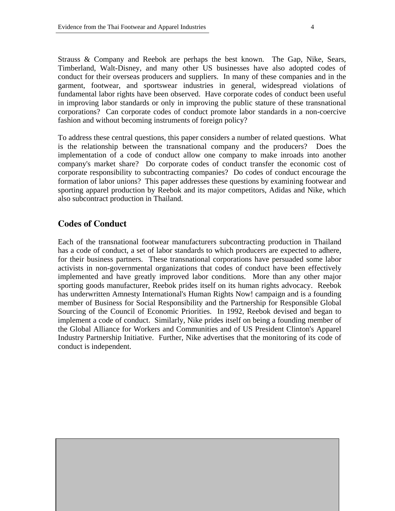Strauss & Company and Reebok are perhaps the best known. The Gap, Nike, Sears, Timberland, Walt-Disney, and many other US businesses have also adopted codes of conduct for their overseas producers and suppliers. In many of these companies and in the garment, footwear, and sportswear industries in general, widespread violations of fundamental labor rights have been observed. Have corporate codes of conduct been useful in improving labor standards or only in improving the public stature of these transnational corporations? Can corporate codes of conduct promote labor standards in a non-coercive fashion and without becoming instruments of foreign policy?

To address these central questions, this paper considers a number of related questions. What is the relationship between the transnational company and the producers? Does the implementation of a code of conduct allow one company to make inroads into another company's market share? Do corporate codes of conduct transfer the economic cost of corporate responsibility to subcontracting companies? Do codes of conduct encourage the formation of labor unions? This paper addresses these questions by examining footwear and sporting apparel production by Reebok and its major competitors, Adidas and Nike, which also subcontract production in Thailand.

#### **Codes of Conduct**

Each of the transnational footwear manufacturers subcontracting production in Thailand has a code of conduct, a set of labor standards to which producers are expected to adhere, for their business partners. These transnational corporations have persuaded some labor activists in non-governmental organizations that codes of conduct have been effectively implemented and have greatly improved labor conditions. More than any other major sporting goods manufacturer, Reebok prides itself on its human rights advocacy. Reebok has underwritten Amnesty International's Human Rights Now! campaign and is a founding member of Business for Social Responsibility and the Partnership for Responsible Global Sourcing of the Council of Economic Priorities. In 1992, Reebok devised and began to implement a code of conduct. Similarly, Nike prides itself on being a founding member of the Global Alliance for Workers and Communities and of US President Clinton's Apparel Industry Partnership Initiative. Further, Nike advertises that the monitoring of its code of conduct is independent.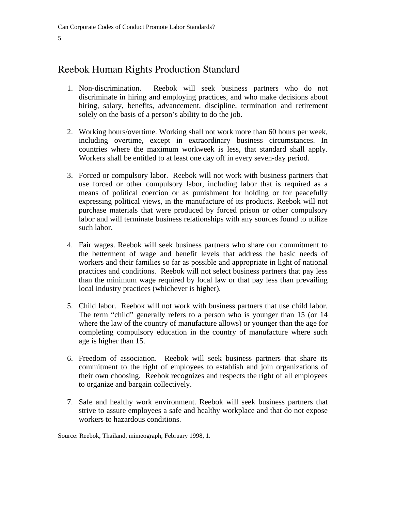# Reebok Human Rights Production Standard

- 1. Non-discrimination. Reebok will seek business partners who do not discriminate in hiring and employing practices, and who make decisions about hiring, salary, benefits, advancement, discipline, termination and retirement solely on the basis of a person's ability to do the job.
- 2. Working hours/overtime. Working shall not work more than 60 hours per week, including overtime, except in extraordinary business circumstances. In countries where the maximum workweek is less, that standard shall apply. Workers shall be entitled to at least one day off in every seven-day period.
- 3. Forced or compulsory labor. Reebok will not work with business partners that use forced or other compulsory labor, including labor that is required as a means of political coercion or as punishment for holding or for peacefully expressing political views, in the manufacture of its products. Reebok will not purchase materials that were produced by forced prison or other compulsory labor and will terminate business relationships with any sources found to utilize such labor.
- 4. Fair wages. Reebok will seek business partners who share our commitment to the betterment of wage and benefit levels that address the basic needs of workers and their families so far as possible and appropriate in light of national practices and conditions. Reebok will not select business partners that pay less than the minimum wage required by local law or that pay less than prevailing local industry practices (whichever is higher).
- 5. Child labor. Reebok will not work with business partners that use child labor. The term "child" generally refers to a person who is younger than 15 (or 14 where the law of the country of manufacture allows) or younger than the age for completing compulsory education in the country of manufacture where such age is higher than 15.
- 6. Freedom of association. Reebok will seek business partners that share its commitment to the right of employees to establish and join organizations of their own choosing. Reebok recognizes and respects the right of all employees to organize and bargain collectively.
- 7. Safe and healthy work environment. Reebok will seek business partners that strive to assure employees a safe and healthy workplace and that do not expose workers to hazardous conditions.

Source: Reebok, Thailand, mimeograph, February 1998, 1.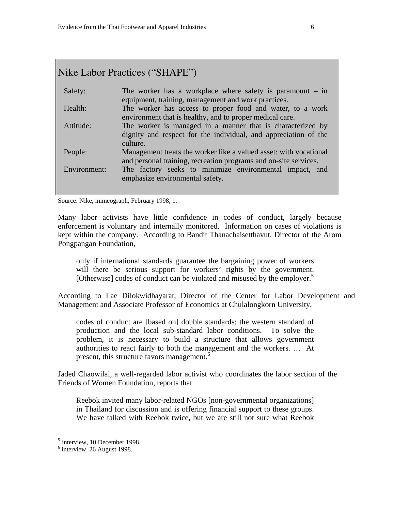# Nike Labor Practices ("SHAPE")

| Safety:      | The worker has a workplace where safety is paramount $-$ in<br>equipment, training, management and work practices.                        |
|--------------|-------------------------------------------------------------------------------------------------------------------------------------------|
| Health:      | The worker has access to proper food and water, to a work<br>environment that is healthy, and to proper medical care.                     |
| Attitude:    | The worker is managed in a manner that is characterized by<br>dignity and respect for the individual, and appreciation of the<br>culture. |
| People:      | Management treats the worker like a valued asset: with vocational<br>and personal training, recreation programs and on-site services.     |
| Environment: | The factory seeks to minimize environmental impact, and<br>emphasize environmental safety.                                                |

Source: Nike, mimeograph, February 1998, 1.

Many labor activists have little confidence in codes of conduct, largely because enforcement is voluntary and internally monitored. Information on cases of violations is kept within the company. According to Bandit Thanachaisetthavut, Director of the Arom Pongpangan Foundation,

only if international standards guarantee the bargaining power of workers will there be serious support for workers' rights by the government. [Otherwise] codes of conduct can be violated and misused by the employer.<sup>5</sup>

According to Lae Dilokwidhayarat, Director of the Center for Labor Development and Management and Associate Professor of Economics at Chulalongkorn University,

codes of conduct are [based on] double standards: the western standard of production and the local sub-standard labor conditions. To solve the problem, it is necessary to build a structure that allows government authorities to react fairly to both the management and the workers. … At present, this structure favors management.<sup>6</sup>

Jaded Chaowilai, a well-regarded labor activist who coordinates the labor section of the Friends of Women Foundation, reports that

Reebok invited many labor-related NGOs [non-governmental organizations] in Thailand for discussion and is offering financial support to these groups. We have talked with Reebok twice, but we are still not sure what Reebok

l

 $<sup>5</sup>$  interview, 10 December 1998.</sup>

 $<sup>6</sup>$  interview, 26 August 1998.</sup>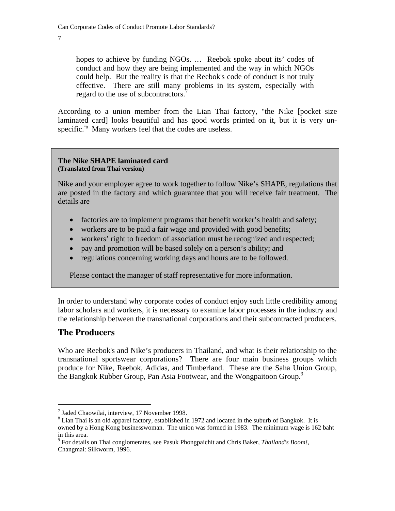hopes to achieve by funding NGOs. … Reebok spoke about its' codes of conduct and how they are being implemented and the way in which NGOs could help. But the reality is that the Reebok's code of conduct is not truly effective. There are still many problems in its system, especially with regard to the use of subcontractors.<sup>7</sup>

According to a union member from the Lian Thai factory, "the Nike [pocket size laminated card] looks beautiful and has good words printed on it, but it is very unspecific."<sup>8</sup> Many workers feel that the codes are useless.

#### **The Nike SHAPE laminated card (Translated from Thai version)**

Nike and your employer agree to work together to follow Nike's SHAPE, regulations that are posted in the factory and which guarantee that you will receive fair treatment. The details are

- factories are to implement programs that benefit worker's health and safety;
- workers are to be paid a fair wage and provided with good benefits;
- workers' right to freedom of association must be recognized and respected;
- pay and promotion will be based solely on a person's ability; and
- regulations concerning working days and hours are to be followed.

Please contact the manager of staff representative for more information.

In order to understand why corporate codes of conduct enjoy such little credibility among labor scholars and workers, it is necessary to examine labor processes in the industry and the relationship between the transnational corporations and their subcontracted producers.

## **The Producers**

 $\ddot{ }$ 

Who are Reebok's and Nike's producers in Thailand, and what is their relationship to the transnational sportswear corporations? There are four main business groups which produce for Nike, Reebok, Adidas, and Timberland. These are the Saha Union Group, the Bangkok Rubber Group, Pan Asia Footwear, and the Wongpaitoon Group.<sup>9</sup>

<sup>7</sup> Jaded Chaowilai, interview, 17 November 1998.

<sup>&</sup>lt;sup>8</sup> Lian Thai is an old apparel factory, established in 1972 and located in the suburb of Bangkok. It is owned by a Hong Kong businesswoman. The union was formed in 1983. The minimum wage is 162 baht in this area.

<sup>9</sup> For details on Thai conglomerates, see Pasuk Phongpaichit and Chris Baker, *Thailand's Boom!*, Changmai: Silkworm, 1996.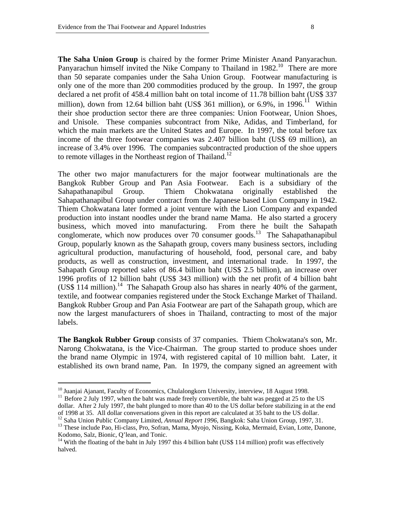**The Saha Union Group** is chaired by the former Prime Minister Anand Panyarachun. Panyarachun himself invited the Nike Company to Thailand in 1982.<sup>10</sup> There are more than 50 separate companies under the Saha Union Group. Footwear manufacturing is only one of the more than 200 commodities produced by the group. In 1997, the group declared a net profit of 458.4 million baht on total income of 11.78 billion baht (US\$ 337 million), down from 12.64 billion baht (US\$ 361 million), or 6.9%, in 1996.<sup>11</sup> Within their shoe production sector there are three companies: Union Footwear, Union Shoes, and Unisole. These companies subcontract from Nike, Adidas, and Timberland, for which the main markets are the United States and Europe. In 1997, the total before tax income of the three footwear companies was 2.407 billion baht (US\$ 69 million), an increase of 3.4% over 1996. The companies subcontracted production of the shoe uppers to remote villages in the Northeast region of Thailand.<sup>12</sup>

The other two major manufacturers for the major footwear multinationals are the Bangkok Rubber Group and Pan Asia Footwear. Each is a subsidiary of the Sahapathanapibul Group. Thiem Chokwatana originally established the Sahapathanapibul Group under contract from the Japanese based Lion Company in 1942. Thiem Chokwatana later formed a joint venture with the Lion Company and expanded production into instant noodles under the brand name Mama. He also started a grocery business, which moved into manufacturing. From there he built the Sahapath conglomerate, which now produces over  $70$  consumer goods.<sup>13</sup> The Sahapathanapibul Group, popularly known as the Sahapath group, covers many business sectors, including agricultural production, manufacturing of household, food, personal care, and baby products, as well as construction, investment, and international trade. In 1997, the Sahapath Group reported sales of 86.4 billion baht (US\$ 2.5 billion), an increase over 1996 profits of 12 billion baht (US\$ 343 million) with the net profit of 4 billion baht (US\$ 114 million).<sup>14</sup> The Sahapath Group also has shares in nearly 40% of the garment, textile, and footwear companies registered under the Stock Exchange Market of Thailand. Bangkok Rubber Group and Pan Asia Footwear are part of the Sahapath group, which are now the largest manufacturers of shoes in Thailand, contracting to most of the major labels.

**The Bangkok Rubber Group** consists of 37 companies. Thiem Chokwatana's son, Mr. Narong Chokwatana, is the Vice-Chairman. The group started to produce shoes under the brand name Olympic in 1974, with registered capital of 10 million baht. Later, it established its own brand name, Pan. In 1979, the company signed an agreement with

<sup>&</sup>lt;sup>10</sup> Juanjai Ajanant, Faculty of Economics, Chulalongkorn University, interview, 18 August 1998.<br><sup>11</sup> Before 2 July 1997, when the baht was made freely convertible, the baht was pegged at 25 to the US dollar. After 2 July 1997, the baht plunged to more than 40 to the US dollar before stabilizing in at the end of 1998 at 35. All dollar conversations given in this report are calculated at 35 baht to the US dollar.<br><sup>12</sup> Saha Union Public Company Limited, *Annual Report 1996*, Bangkok: Saha Union Group, 1997, 31.

<sup>&</sup>lt;sup>13</sup> These include Pao, Hi-class, Pro, Sofran, Mama, Myojo, Nissing, Koka, Mermaid, Evian, Lotte, Danone, Kodomo, Salz, Bionic, Q'lean, and Tonic.

<sup>&</sup>lt;sup>14</sup> With the floating of the baht in July 1997 this 4 billion baht (US\$ 114 million) profit was effectively halved.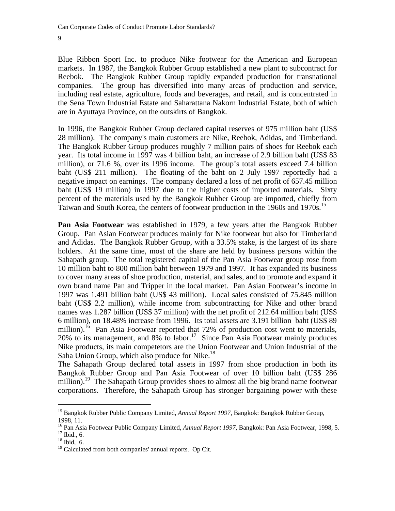Blue Ribbon Sport Inc. to produce Nike footwear for the American and European markets. In 1987, the Bangkok Rubber Group established a new plant to subcontract for Reebok. The Bangkok Rubber Group rapidly expanded production for transnational companies. The group has diversified into many areas of production and service, including real estate, agriculture, foods and beverages, and retail, and is concentrated in the Sena Town Industrial Estate and Saharattana Nakorn Industrial Estate, both of which are in Ayuttaya Province, on the outskirts of Bangkok.

In 1996, the Bangkok Rubber Group declared capital reserves of 975 million baht (US\$ 28 million). The company's main customers are Nike, Reebok, Adidas, and Timberland. The Bangkok Rubber Group produces roughly 7 million pairs of shoes for Reebok each year. Its total income in 1997 was 4 billion baht, an increase of 2.9 billion baht (US\$ 83 million), or 71.6 %, over its 1996 income. The group's total assets exceed 7.4 billion baht (US\$ 211 million). The floating of the baht on 2 July 1997 reportedly had a negative impact on earnings. The company declared a loss of net profit of 657.45 million baht (US\$ 19 million) in 1997 due to the higher costs of imported materials. Sixty percent of the materials used by the Bangkok Rubber Group are imported, chiefly from Taiwan and South Korea, the centers of footwear production in the 1960s and 1970s.<sup>15</sup>

**Pan Asia Footwear** was established in 1979, a few years after the Bangkok Rubber Group. Pan Asian Footwear produces mainly for Nike footwear but also for Timberland and Adidas. The Bangkok Rubber Group, with a 33.5% stake, is the largest of its share holders. At the same time, most of the share are held by business persons within the Sahapath group. The total registered capital of the Pan Asia Footwear group rose from 10 million baht to 800 million baht between 1979 and 1997. It has expanded its business to cover many areas of shoe production, material, and sales, and to promote and expand it own brand name Pan and Tripper in the local market. Pan Asian Footwear's income in 1997 was 1.491 billion baht (US\$ 43 million). Local sales consisted of 75.845 million baht (US\$ 2.2 million), while income from subcontracting for Nike and other brand names was 1.287 billion (US\$ 37 million) with the net profit of 212.64 million baht (US\$ 6 million), on 18.48% increase from 1996. Its total assets are 3.191 billion baht (US\$ 89 million).<sup>16</sup> Pan Asia Footwear reported that 72% of production cost went to materials, 20% to its management, and 8% to labor.<sup>17</sup> Since Pan Asia Footwear mainly produces Nike products, its main competetors are the Union Footwear and Union Industrial of the Saha Union Group, which also produce for Nike.<sup>18</sup>

The Sahapath Group declared total assets in 1997 from shoe production in both its Bangkok Rubber Group and Pan Asia Footwear of over 10 billion baht (US\$ 286 million).<sup>19</sup> The Sahapath Group provides shoes to almost all the big brand name footwear corporations. Therefore, the Sahapath Group has stronger bargaining power with these

 $\ddot{ }$ 

<sup>15</sup> Bangkok Rubber Public Company Limited, *Annual Report 1997*, Bangkok: Bangkok Rubber Group, 1998, 11.

<sup>&</sup>lt;sup>16</sup> Pan Asia Footwear Public Company Limited, *Annual Report 1997*, Bangkok: Pan Asia Footwear, 1998, 5. <sup>17</sup> Ibid., 6.

<sup>18</sup> Ibid, 6.

 $19$  Calculated from both companies' annual reports. Op Cit.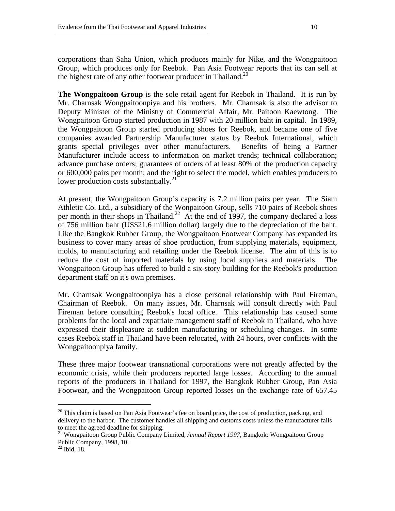corporations than Saha Union, which produces mainly for Nike, and the Wongpaitoon Group, which produces only for Reebok. Pan Asia Footwear reports that its can sell at the highest rate of any other footwear producer in Thailand.<sup>20</sup>

**The Wongpaitoon Group** is the sole retail agent for Reebok in Thailand. It is run by Mr. Charnsak Wongpaitoonpiya and his brothers. Mr. Charnsak is also the advisor to Deputy Minister of the Ministry of Commercial Affair, Mr. Paitoon Kaewtong. The Wongpaitoon Group started production in 1987 with 20 million baht in capital. In 1989, the Wongpaitoon Group started producing shoes for Reebok, and became one of five companies awarded Partnership Manufacturer status by Reebok International, which grants special privileges over other manufacturers. Benefits of being a Partner Manufacturer include access to information on market trends; technical collaboration; advance purchase orders; guarantees of orders of at least 80% of the production capacity or 600,000 pairs per month; and the right to select the model, which enables producers to lower production costs substantially. $^{21}$ 

At present, the Wongpaitoon Group's capacity is 7.2 million pairs per year. The Siam Athletic Co. Ltd., a subsidiary of the Wonpaitoon Group, sells 710 pairs of Reebok shoes per month in their shops in Thailand.<sup>22</sup> At the end of 1997, the company declared a loss of 756 million baht (US\$21.6 million dollar) largely due to the depreciation of the baht. Like the Bangkok Rubber Group, the Wongpaitoon Footwear Company has expanded its business to cover many areas of shoe production, from supplying materials, equipment, molds, to manufacturing and retailing under the Reebok license. The aim of this is to reduce the cost of imported materials by using local suppliers and materials. The Wongpaitoon Group has offered to build a six-story building for the Reebok's production department staff on it's own premises.

Mr. Charnsak Wongpaitoonpiya has a close personal relationship with Paul Fireman, Chairman of Reebok. On many issues, Mr. Charnsak will consult directly with Paul Fireman before consulting Reebok's local office. This relationship has caused some problems for the local and expatriate management staff of Reebok in Thailand, who have expressed their displeasure at sudden manufacturing or scheduling changes. In some cases Reebok staff in Thailand have been relocated, with 24 hours, over conflicts with the Wongpaitoonpiya family.

These three major footwear transnational corporations were not greatly affected by the economic crisis, while their producers reported large losses. According to the annual reports of the producers in Thailand for 1997, the Bangkok Rubber Group, Pan Asia Footwear, and the Wongpaitoon Group reported losses on the exchange rate of 657.45

 $\ddot{ }$ 

 $20$  This claim is based on Pan Asia Footwear's fee on board price, the cost of production, packing, and delivery to the harbor. The customer handles all shipping and customs costs unless the manufacturer fails to meet the agreed deadline for shipping.<br><sup>21</sup> Wongpaitoon Group Public Company Limited, *Annual Report 1997*, Bangkok: Wongpaitoon Group

Public Company, 1998, 10.

 $22$  Ibid, 18.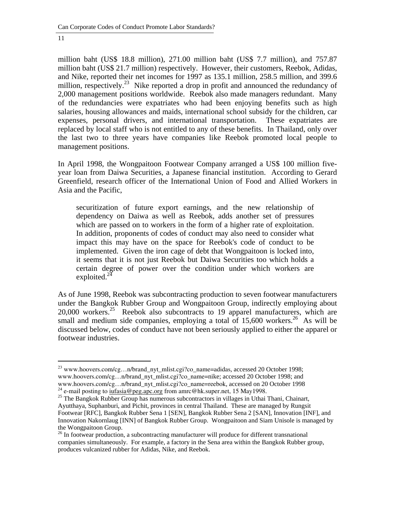l

million baht (US\$ 18.8 million), 271.00 million baht (US\$ 7.7 million), and 757.87 million baht (US\$ 21.7 million) respectively. However, their customers, Reebok, Adidas, and Nike, reported their net incomes for 1997 as 135.1 million, 258.5 million, and 399.6 million, respectively.<sup>23</sup> Nike reported a drop in profit and announced the redundancy of 2,000 management positions worldwide. Reebok also made managers redundant. Many of the redundancies were expatriates who had been enjoying benefits such as high salaries, housing allowances and maids, international school subsidy for the children, car expenses, personal drivers, and international transportation. These expatriates are replaced by local staff who is not entitled to any of these benefits. In Thailand, only over the last two to three years have companies like Reebok promoted local people to management positions.

In April 1998, the Wongpaitoon Footwear Company arranged a US\$ 100 million fiveyear loan from Daiwa Securities, a Japanese financial institution. According to Gerard Greenfield, research officer of the International Union of Food and Allied Workers in Asia and the Pacific,

securitization of future export earnings, and the new relationship of dependency on Daiwa as well as Reebok, adds another set of pressures which are passed on to workers in the form of a higher rate of exploitation. In addition, proponents of codes of conduct may also need to consider what impact this may have on the space for Reebok's code of conduct to be implemented. Given the iron cage of debt that Wongpaitoon is locked into, it seems that it is not just Reebok but Daiwa Securities too which holds a certain degree of power over the condition under which workers are exploited. $^{24}$ 

As of June 1998, Reebok was subcontracting production to seven footwear manufacturers under the Bangkok Rubber Group and Wongpaitoon Group, indirectly employing about  $20,000$  workers.<sup>25</sup> Reebok also subcontracts to 19 apparel manufacturers, which are small and medium side companies, employing a total of 15,600 workers.<sup>26</sup> As will be discussed below, codes of conduct have not been seriously applied to either the apparel or footwear industries.

<sup>&</sup>lt;sup>23</sup> www.hoovers.com/cg...n/brand\_nyt\_mlist.cgi?co\_name=adidas, accessed 20 October 1998; www.hoovers.com/cg…n/brand\_nyt\_mlist.cgi?co\_name=nike; accessed 20 October 1998; and www.hoovers.com/cg...n/brand\_nyt\_mlist.cgi?co\_name=reebok, accessed on 20 October 1998<br><sup>24</sup> e-mail posting to <u>iufasia@peg.apc.org</u> from amrc@hk.super.net, 15 May1998.<br><sup>25</sup> The Bangkok Rubber Group has numerous subcontract

Ayutthaya, Suphanburi, and Pichit, provinces in central Thailand. These are managed by Rungsit Footwear [RFC], Bangkok Rubber Sena 1 [SEN], Bangkok Rubber Sena 2 [SAN], Innovation [INF], and Innovation Nakornlaug [INN] of Bangkok Rubber Group. Wongpaitoon and Siam Unisole is managed by the Wongpaitoon Group.

 $26$  In footwear production, a subcontracting manufacturer will produce for different transnational companies simultaneously. For example, a factory in the Sena area within the Bangkok Rubber group, produces vulcanized rubber for Adidas, Nike, and Reebok.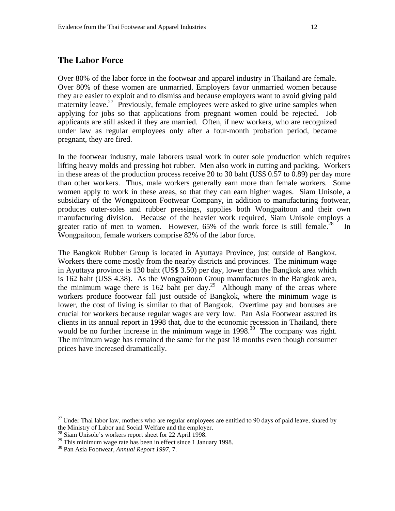## **The Labor Force**

Over 80% of the labor force in the footwear and apparel industry in Thailand are female. Over 80% of these women are unmarried. Employers favor unmarried women because they are easier to exploit and to dismiss and because employers want to avoid giving paid maternity leave.<sup>27</sup> Previously, female employees were asked to give urine samples when applying for jobs so that applications from pregnant women could be rejected. Job applicants are still asked if they are married. Often, if new workers, who are recognized under law as regular employees only after a four-month probation period, became pregnant, they are fired.

In the footwear industry, male laborers usual work in outer sole production which requires lifting heavy molds and pressing hot rubber. Men also work in cutting and packing. Workers in these areas of the production process receive 20 to 30 baht (US\$ 0.57 to 0.89) per day more than other workers. Thus, male workers generally earn more than female workers. Some women apply to work in these areas, so that they can earn higher wages. Siam Unisole, a subsidiary of the Wongpaitoon Footwear Company, in addition to manufacturing footwear, produces outer-soles and rubber pressings, supplies both Wongpaitoon and their own manufacturing division. Because of the heavier work required, Siam Unisole employs a greater ratio of men to women. However,  $65\%$  of the work force is still female.<sup>28</sup> In Wongpaitoon, female workers comprise 82% of the labor force.

The Bangkok Rubber Group is located in Ayuttaya Province, just outside of Bangkok. Workers there come mostly from the nearby districts and provinces. The minimum wage in Ayuttaya province is 130 baht (US\$ 3.50) per day, lower than the Bangkok area which is 162 baht (US\$ 4.38). As the Wongpaitoon Group manufactures in the Bangkok area, the minimum wage there is 162 baht per day.<sup>29</sup> Although many of the areas where workers produce footwear fall just outside of Bangkok, where the minimum wage is lower, the cost of living is similar to that of Bangkok. Overtime pay and bonuses are crucial for workers because regular wages are very low. Pan Asia Footwear assured its clients in its annual report in 1998 that, due to the economic recession in Thailand, there would be no further increase in the minimum wage in  $1998$ <sup>30</sup>. The company was right. The minimum wage has remained the same for the past 18 months even though consumer prices have increased dramatically.

l

 $^{27}$  Under Thai labor law, mothers who are regular employees are entitled to 90 days of paid leave, shared by the Ministry of Labor and Social Welfare and the employer.

 $^{28}$  Siam Unisole's workers report sheet for 22 April 1998.

 $29$  This minimum wage rate has been in effect since 1 January 1998.

<sup>30</sup> Pan Asia Footwear, *Annual Report 1997,* 7.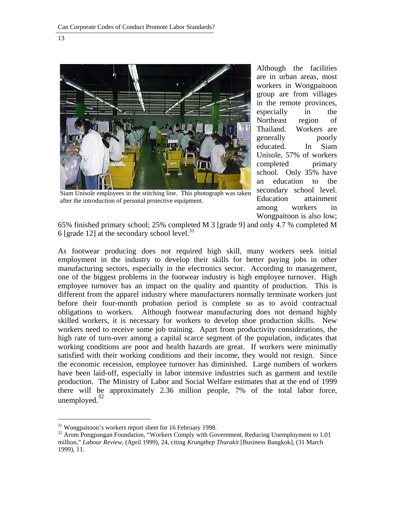

Siam Unisole employees in the stitching line. This photograph was taken after the introduction of personal protective equipment.

Although the facilities are in urban areas, most workers in Wongpaitoon group are from villages in the remote provinces, especially in the Northeast region of Thailand. Workers are generally poorly educated. In Siam Unisole, 57% of workers completed primary school. Only 35% have an education to the secondary school level. Education attainment among workers in Wongpaitoon is also low;

65% finished primary school; 25% completed M 3 [grade 9] and only 4.7 % completed M 6 [grade 12] at the secondary school level.<sup>31</sup>

As footwear producing does not required high skill, many workers seek initial employment in the industry to develop their skills for better paying jobs in other manufacturing sectors, especially in the electronics sector. According to management, one of the biggest problems in the footwear industry is high employee turnover. High employee turnover has an impact on the quality and quantity of production. This is different from the apparel industry where manufacturers normally terminate workers just before their four-month probation period is complete so as to avoid contractual obligations to workers. Although footwear manufacturing does not demand highly skilled workers, it is necessary for workers to develop shoe production skills. New workers need to receive some job training. Apart from productivity considerations, the high rate of turn-over among a capital scarce segment of the population, indicates that working conditions are poor and health hazards are great. If workers were minimally satisfied with their working conditions and their income, they would not resign. Since the economic recession, employee turnover has diminished. Large numbers of workers have been laid-off, especially in labor intensive industries such as garment and textile production. The Ministry of Labor and Social Welfare estimates that at the end of 1999 there will be approximately 2.36 million people, 7% of the total labor force, unemployed. $32$ 

 $\ddot{ }$ 

 $31$  Wongpaitoon's workers report sheet for 16 February 1998.

<sup>&</sup>lt;sup>32</sup> Arom Pongpangan Foundation, "Workers Comply with Government, Reducing Unemployment to 1.01 million," *Labour Review*, (April 1999), 24, citing *Krungthep Thurakit* [Business Bangkok], (31 March 1999), 11.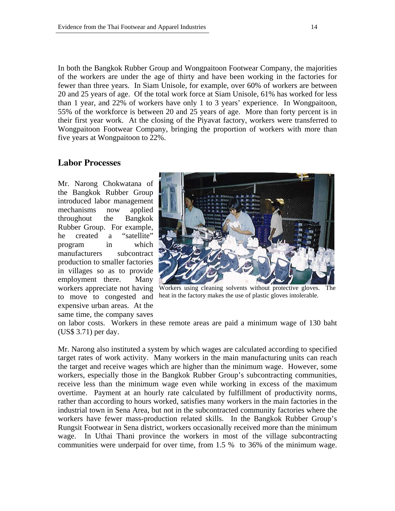In both the Bangkok Rubber Group and Wongpaitoon Footwear Company, the majorities of the workers are under the age of thirty and have been working in the factories for fewer than three years. In Siam Unisole, for example, over 60% of workers are between 20 and 25 years of age. Of the total work force at Siam Unisole, 61% has worked for less than 1 year, and 22% of workers have only 1 to 3 years' experience. In Wongpaitoon, 55% of the workforce is between 20 and 25 years of age. More than forty percent is in their first year work. At the closing of the Piyavat factory, workers were transferred to Wongpaitoon Footwear Company, bringing the proportion of workers with more than five years at Wongpaitoon to 22%.

#### **Labor Processes**

Mr. Narong Chokwatana of the Bangkok Rubber Group introduced labor management mechanisms now applied throughout the Bangkok Rubber Group. For example, he created a "satellite" program in which manufacturers subcontract production to smaller factories in villages so as to provide employment there. Many workers appreciate not having to move to congested and expensive urban areas. At the same time, the company saves



Workers using cleaning solvents without protective gloves. The heat in the factory makes the use of plastic gloves intolerable.

on labor costs. Workers in these remote areas are paid a minimum wage of 130 baht (US\$ 3.71) per day.

Mr. Narong also instituted a system by which wages are calculated according to specified target rates of work activity. Many workers in the main manufacturing units can reach the target and receive wages which are higher than the minimum wage. However, some workers, especially those in the Bangkok Rubber Group's subcontracting communities, receive less than the minimum wage even while working in excess of the maximum overtime. Payment at an hourly rate calculated by fulfillment of productivity norms, rather than according to hours worked, satisfies many workers in the main factories in the industrial town in Sena Area, but not in the subcontracted community factories where the workers have fewer mass-production related skills. In the Bangkok Rubber Group's Rungsit Footwear in Sena district, workers occasionally received more than the minimum wage. In Uthai Thani province the workers in most of the village subcontracting communities were underpaid for over time, from 1.5 % to 36% of the minimum wage.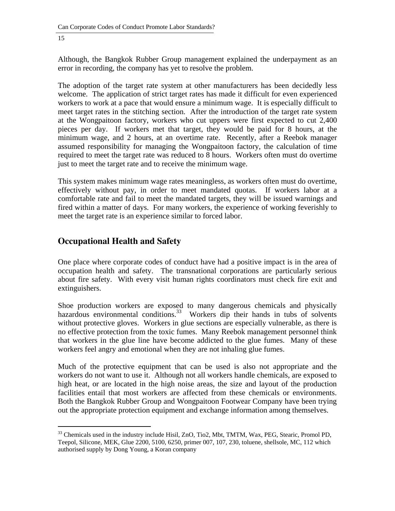Although, the Bangkok Rubber Group management explained the underpayment as an error in recording, the company has yet to resolve the problem.

The adoption of the target rate system at other manufacturers has been decidedly less welcome. The application of strict target rates has made it difficult for even experienced workers to work at a pace that would ensure a minimum wage. It is especially difficult to meet target rates in the stitching section. After the introduction of the target rate system at the Wongpaitoon factory, workers who cut uppers were first expected to cut 2,400 pieces per day. If workers met that target, they would be paid for 8 hours, at the minimum wage, and 2 hours, at an overtime rate. Recently, after a Reebok manager assumed responsibility for managing the Wongpaitoon factory, the calculation of time required to meet the target rate was reduced to 8 hours. Workers often must do overtime just to meet the target rate and to receive the minimum wage.

This system makes minimum wage rates meaningless, as workers often must do overtime, effectively without pay, in order to meet mandated quotas. If workers labor at a comfortable rate and fail to meet the mandated targets, they will be issued warnings and fired within a matter of days. For many workers, the experience of working feverishly to meet the target rate is an experience similar to forced labor.

## **Occupational Health and Safety**

One place where corporate codes of conduct have had a positive impact is in the area of occupation health and safety. The transnational corporations are particularly serious about fire safety. With every visit human rights coordinators must check fire exit and extinguishers.

Shoe production workers are exposed to many dangerous chemicals and physically hazardous environmental conditions.<sup>33</sup> Workers dip their hands in tubs of solvents without protective gloves. Workers in glue sections are especially vulnerable, as there is no effective protection from the toxic fumes. Many Reebok management personnel think that workers in the glue line have become addicted to the glue fumes. Many of these workers feel angry and emotional when they are not inhaling glue fumes.

Much of the protective equipment that can be used is also not appropriate and the workers do not want to use it. Although not all workers handle chemicals, are exposed to high heat, or are located in the high noise areas, the size and layout of the production facilities entail that most workers are affected from these chemicals or environments. Both the Bangkok Rubber Group and Wongpaitoon Footwear Company have been trying out the appropriate protection equipment and exchange information among themselves.

 $\ddot{ }$ <sup>33</sup> Chemicals used in the industry include Hisil, ZnO, Tio2, Mbt, TMTM, Wax, PEG, Stearic, Promol PD, Teepol, Silicone, MEK, Glue 2200, 5100, 6250, primer 007, 107, 230, toluene, shellsole, MC, 112 which authorised supply by Dong Young, a Koran company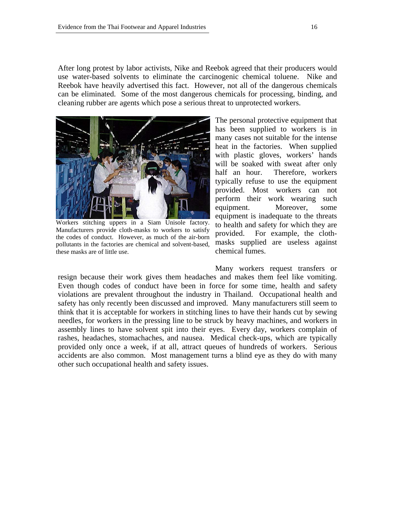After long protest by labor activists, Nike and Reebok agreed that their producers would use water-based solvents to eliminate the carcinogenic chemical toluene. Nike and Reebok have heavily advertised this fact. However, not all of the dangerous chemicals can be eliminated. Some of the most dangerous chemicals for processing, binding, and cleaning rubber are agents which pose a serious threat to unprotected workers.



Workers stitching uppers in a Siam Unisole factory. Manufacturers provide cloth-masks to workers to satisfy the codes of conduct. However, as much of the air-born pollutants in the factories are chemical and solvent-based, these masks are of little use.

The personal protective equipment that has been supplied to workers is in many cases not suitable for the intense heat in the factories. When supplied with plastic gloves, workers' hands will be soaked with sweat after only half an hour. Therefore, workers typically refuse to use the equipment provided. Most workers can not perform their work wearing such equipment. Moreover, some equipment is inadequate to the threats to health and safety for which they are provided. For example, the clothmasks supplied are useless against chemical fumes.

Many workers request transfers or resign because their work gives them headaches and makes them feel like vomiting. Even though codes of conduct have been in force for some time, health and safety violations are prevalent throughout the industry in Thailand. Occupational health and safety has only recently been discussed and improved. Many manufacturers still seem to think that it is acceptable for workers in stitching lines to have their hands cut by sewing needles, for workers in the pressing line to be struck by heavy machines, and workers in assembly lines to have solvent spit into their eyes. Every day, workers complain of rashes, headaches, stomachaches, and nausea. Medical check-ups, which are typically provided only once a week, if at all, attract queues of hundreds of workers. Serious accidents are also common. Most management turns a blind eye as they do with many other such occupational health and safety issues.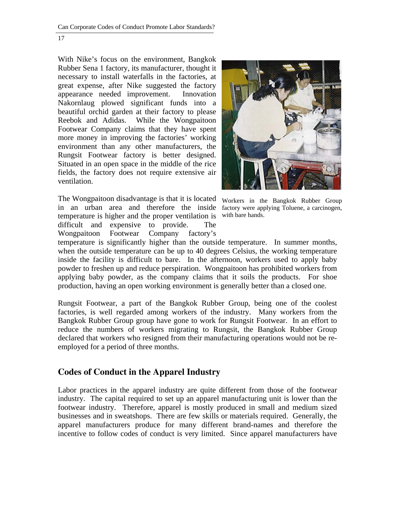With Nike's focus on the environment, Bangkok Rubber Sena 1 factory, its manufacturer, thought it necessary to install waterfalls in the factories, at great expense, after Nike suggested the factory appearance needed improvement. Innovation Nakornlaug plowed significant funds into a beautiful orchid garden at their factory to please Reebok and Adidas. While the Wongpaitoon Footwear Company claims that they have spent more money in improving the factories' working environment than any other manufacturers, the Rungsit Footwear factory is better designed. Situated in an open space in the middle of the rice fields, the factory does not require extensive air ventilation.

The Wongpaitoon disadvantage is that it is located in an urban area and therefore the inside temperature is higher and the proper ventilation is difficult and expensive to provide. The Wongpaitoon Footwear Company factory's



Workers in the Bangkok Rubber Group factory were applying Toluene, a carcinogen, with bare hands.

temperature is significantly higher than the outside temperature. In summer months, when the outside temperature can be up to 40 degrees Celsius, the working temperature inside the facility is difficult to bare. In the afternoon, workers used to apply baby powder to freshen up and reduce perspiration. Wongpaitoon has prohibited workers from applying baby powder, as the company claims that it soils the products. For shoe production, having an open working environment is generally better than a closed one.

Rungsit Footwear, a part of the Bangkok Rubber Group, being one of the coolest factories, is well regarded among workers of the industry. Many workers from the Bangkok Rubber Group group have gone to work for Rungsit Footwear. In an effort to reduce the numbers of workers migrating to Rungsit, the Bangkok Rubber Group declared that workers who resigned from their manufacturing operations would not be reemployed for a period of three months.

## **Codes of Conduct in the Apparel Industry**

Labor practices in the apparel industry are quite different from those of the footwear industry. The capital required to set up an apparel manufacturing unit is lower than the footwear industry. Therefore, apparel is mostly produced in small and medium sized businesses and in sweatshops. There are few skills or materials required. Generally, the apparel manufacturers produce for many different brand-names and therefore the incentive to follow codes of conduct is very limited. Since apparel manufacturers have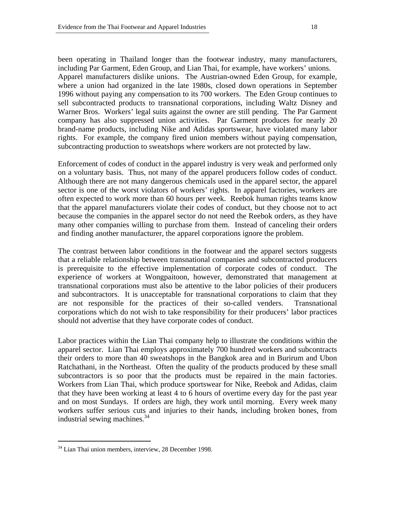been operating in Thailand longer than the footwear industry, many manufacturers, including Par Garment, Eden Group, and Lian Thai, for example, have workers' unions. Apparel manufacturers dislike unions. The Austrian-owned Eden Group, for example, where a union had organized in the late 1980s, closed down operations in September 1996 without paying any compensation to its 700 workers. The Eden Group continues to sell subcontracted products to transnational corporations, including Waltz Disney and Warner Bros. Workers' legal suits against the owner are still pending.The Par Garment company has also suppressed union activities. Par Garment produces for nearly 20 brand-name products, including Nike and Adidas sportswear, have violated many labor rights. For example, the company fired union members without paying compensation, subcontracting production to sweatshops where workers are not protected by law.

Enforcement of codes of conduct in the apparel industry is very weak and performed only on a voluntary basis. Thus, not many of the apparel producers follow codes of conduct. Although there are not many dangerous chemicals used in the apparel sector, the apparel sector is one of the worst violators of workers' rights. In apparel factories, workers are often expected to work more than 60 hours per week. Reebok human rights teams know that the apparel manufacturers violate their codes of conduct, but they choose not to act because the companies in the apparel sector do not need the Reebok orders, as they have many other companies willing to purchase from them. Instead of canceling their orders and finding another manufacturer, the apparel corporations ignore the problem.

The contrast between labor conditions in the footwear and the apparel sectors suggests that a reliable relationship between transnational companies and subcontracted producers is prerequisite to the effective implementation of corporate codes of conduct. The experience of workers at Wongpaitoon, however, demonstrated that management at transnational corporations must also be attentive to the labor policies of their producers and subcontractors. It is unacceptable for transnational corporations to claim that they are not responsible for the practices of their so-called venders. Transnational corporations which do not wish to take responsibility for their producers' labor practices should not advertise that they have corporate codes of conduct.

Labor practices within the Lian Thai company help to illustrate the conditions within the apparel sector. Lian Thai employs approximately 700 hundred workers and subcontracts their orders to more than 40 sweatshops in the Bangkok area and in Burirum and Ubon Ratchathani, in the Northeast. Often the quality of the products produced by these small subcontractors is so poor that the products must be repaired in the main factories. Workers from Lian Thai, which produce sportswear for Nike, Reebok and Adidas, claim that they have been working at least 4 to 6 hours of overtime every day for the past year and on most Sundays. If orders are high, they work until morning. Every week many workers suffer serious cuts and injuries to their hands, including broken bones, from industrial sewing machines.<sup>34</sup>

l 34 Lian Thai union members, interview, 28 December 1998.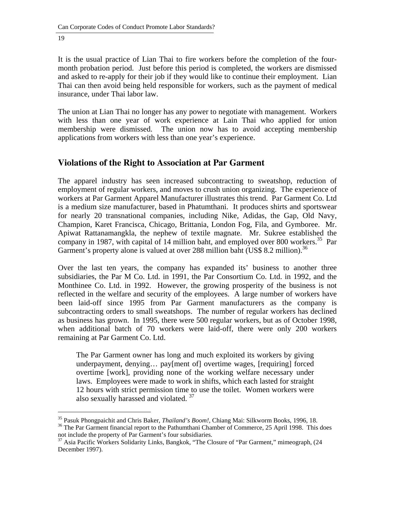It is the usual practice of Lian Thai to fire workers before the completion of the fourmonth probation period. Just before this period is completed, the workers are dismissed and asked to re-apply for their job if they would like to continue their employment. Lian Thai can then avoid being held responsible for workers, such as the payment of medical insurance, under Thai labor law.

The union at Lian Thai no longer has any power to negotiate with management. Workers with less than one year of work experience at Lain Thai who applied for union membership were dismissed. The union now has to avoid accepting membership applications from workers with less than one year's experience.

## **Violations of the Right to Association at Par Garment**

The apparel industry has seen increased subcontracting to sweatshop, reduction of employment of regular workers, and moves to crush union organizing. The experience of workers at Par Garment Apparel Manufacturer illustrates this trend. Par Garment Co. Ltd is a medium size manufacturer, based in Phatumthani. It produces shirts and sportswear for nearly 20 transnational companies, including Nike, Adidas, the Gap, Old Navy, Champion, Karet Francisca, Chicago, Brittania, London Fog, Fila, and Gymboree. Mr. Apiwat Rattanamangkla, the nephew of textile magnate. Mr. Sukree established the company in 1987, with capital of 14 million baht, and employed over 800 workers.<sup>35</sup> Par Garment's property alone is valued at over 288 million baht (US\$ 8.2 million).<sup>36</sup>

Over the last ten years, the company has expanded its' business to another three subsidiaries, the Par M Co. Ltd. in 1991, the Par Consortium Co. Ltd. in 1992, and the Monthinee Co. Ltd. in 1992. However, the growing prosperity of the business is not reflected in the welfare and security of the employees. A large number of workers have been laid-off since 1995 from Par Garment manufacturers as the company is subcontracting orders to small sweatshops. The number of regular workers has declined as business has grown. In 1995, there were 500 regular workers, but as of October 1998, when additional batch of 70 workers were laid-off, there were only 200 workers remaining at Par Garment Co. Ltd.

 The Par Garment owner has long and much exploited its workers by giving underpayment, denying… pay[ment of] overtime wages, [requiring] forced overtime [work], providing none of the working welfare necessary under laws. Employees were made to work in shifts, which each lasted for straight 12 hours with strict permission time to use the toilet. Women workers were also sexually harassed and violated.<sup>37</sup>

 $\ddot{ }$ <sup>35</sup> Pasuk Phongpaichit and Chris Baker, *Thailand's Boom!*, Chiang Mai: Silkworm Books, 1996, 18.<br><sup>36</sup> The Par Garment financial report to the Pathumthani Chamber of Commerce, 25 April 1998. This does

not include the property of Par Garment's four subsidiaries.

<sup>&</sup>lt;sup>37</sup> Asia Pacific Workers Solidarity Links, Bangkok, "The Closure of "Par Garment," mimeograph, (24 December 1997).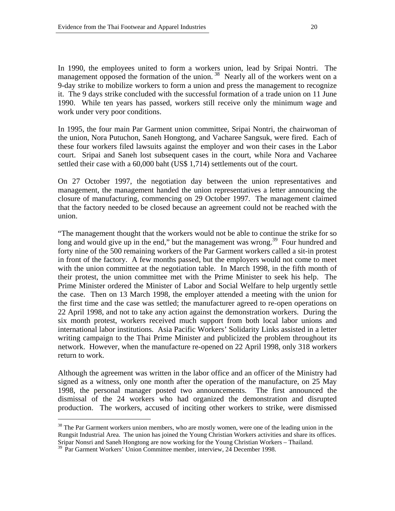In 1990, the employees united to form a workers union, lead by Sripai Nontri. The management opposed the formation of the union.<sup>38</sup> Nearly all of the workers went on a 9-day strike to mobilize workers to form a union and press the management to recognize it. The 9 days strike concluded with the successful formation of a trade union on 11 June 1990. While ten years has passed, workers still receive only the minimum wage and work under very poor conditions.

In 1995, the four main Par Garment union committee, Sripai Nontri, the chairwoman of the union, Nora Putuchon, Saneh Hongtong, and Vacharee Sangsuk, were fired. Each of these four workers filed lawsuits against the employer and won their cases in the Labor court. Sripai and Saneh lost subsequent cases in the court, while Nora and Vacharee settled their case with a 60,000 baht (US\$ 1,714) settlements out of the court.

On 27 October 1997, the negotiation day between the union representatives and management, the management handed the union representatives a letter announcing the closure of manufacturing, commencing on 29 October 1997. The management claimed that the factory needed to be closed because an agreement could not be reached with the union.

"The management thought that the workers would not be able to continue the strike for so long and would give up in the end," but the management was wrong.<sup>39</sup> Four hundred and forty nine of the 500 remaining workers of the Par Garment workers called a sit-in protest in front of the factory. A few months passed, but the employers would not come to meet with the union committee at the negotiation table. In March 1998, in the fifth month of their protest, the union committee met with the Prime Minister to seek his help. The Prime Minister ordered the Minister of Labor and Social Welfare to help urgently settle the case. Then on 13 March 1998, the employer attended a meeting with the union for the first time and the case was settled; the manufacturer agreed to re-open operations on 22 April 1998, and not to take any action against the demonstration workers. During the six month protest, workers received much support from both local labor unions and international labor institutions. Asia Pacific Workers' Solidarity Links assisted in a letter writing campaign to the Thai Prime Minister and publicized the problem throughout its network. However, when the manufacture re-opened on 22 April 1998, only 318 workers return to work.

Although the agreement was written in the labor office and an officer of the Ministry had signed as a witness, only one month after the operation of the manufacture, on 25 May 1998, the personal manager posted two announcements. The first announced the dismissal of the 24 workers who had organized the demonstration and disrupted production. The workers, accused of inciting other workers to strike, were dismissed

 $\ddot{ }$ 

<sup>&</sup>lt;sup>38</sup> The Par Garment workers union members, who are mostly women, were one of the leading union in the Rungsit Industrial Area. The union has joined the Young Christian Workers activities and share its offices. Sripar Nonsri and Saneh Hongtong are now working for the Young Christian Workers – Thailand.

<sup>&</sup>lt;sup>39</sup> Par Garment Workers' Union Committee member, interview, 24 December 1998.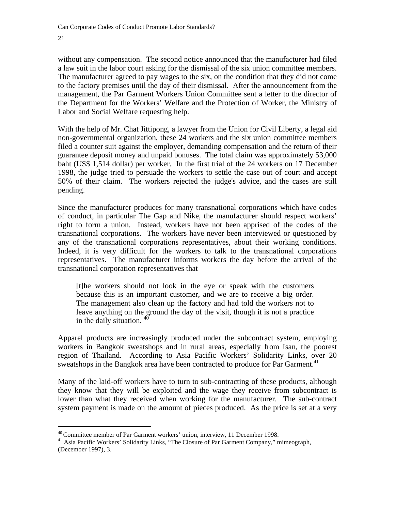without any compensation. The second notice announced that the manufacturer had filed a law suit in the labor court asking for the dismissal of the six union committee members. The manufacturer agreed to pay wages to the six, on the condition that they did not come to the factory premises until the day of their dismissal. After the announcement from the management, the Par Garment Workers Union Committee sent a letter to the director of the Department for the Workers' Welfare and the Protection of Worker, the Ministry of Labor and Social Welfare requesting help.

With the help of Mr. Chat Jittipong, a lawyer from the Union for Civil Liberty, a legal aid non-governmental organization, these 24 workers and the six union committee members filed a counter suit against the employer, demanding compensation and the return of their guarantee deposit money and unpaid bonuses. The total claim was approximately 53,000 baht (US\$ 1,514 dollar) per worker. In the first trial of the 24 workers on 17 December 1998, the judge tried to persuade the workers to settle the case out of court and accept 50% of their claim. The workers rejected the judge's advice, and the cases are still pending.

Since the manufacturer produces for many transnational corporations which have codes of conduct, in particular The Gap and Nike, the manufacturer should respect workers' right to form a union. Instead, workers have not been apprised of the codes of the transnational corporations. The workers have never been interviewed or questioned by any of the transnational corporations representatives, about their working conditions. Indeed, it is very difficult for the workers to talk to the transnational corporations representatives. The manufacturer informs workers the day before the arrival of the transnational corporation representatives that

 [t]he workers should not look in the eye or speak with the customers because this is an important customer, and we are to receive a big order. The management also clean up the factory and had told the workers not to leave anything on the ground the day of the visit, though it is not a practice in the daily situation.  $\dot{ }$ 

Apparel products are increasingly produced under the subcontract system, employing workers in Bangkok sweatshops and in rural areas, especially from Isan, the poorest region of Thailand. According to Asia Pacific Workers' Solidarity Links, over 20 sweatshops in the Bangkok area have been contracted to produce for Par Garment.<sup>41</sup>

Many of the laid-off workers have to turn to sub-contracting of these products, although they know that they will be exploited and the wage they receive from subcontract is lower than what they received when working for the manufacturer. The sub-contract system payment is made on the amount of pieces produced. As the price is set at a very

<sup>&</sup>lt;sup>40</sup> Committee member of Par Garment workers' union, interview, 11 December 1998.

<sup>&</sup>lt;sup>41</sup> Asia Pacific Workers' Solidarity Links, "The Closure of Par Garment Company," mimeograph, (December 1997), 3.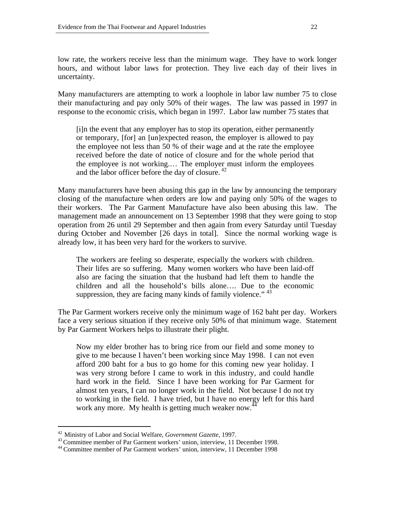low rate, the workers receive less than the minimum wage. They have to work longer hours, and without labor laws for protection. They live each day of their lives in uncertainty.

Many manufacturers are attempting to work a loophole in labor law number 75 to close their manufacturing and pay only 50% of their wages. The law was passed in 1997 in response to the economic crisis, which began in 1997. Labor law number 75 states that

[i]n the event that any employer has to stop its operation, either permanently or temporary, [for] an [un]expected reason, the employer is allowed to pay the employee not less than 50 % of their wage and at the rate the employee received before the date of notice of closure and for the whole period that the employee is not working.… The employer must inform the employees and the labor officer before the day of closure.<sup>42</sup>

Many manufacturers have been abusing this gap in the law by announcing the temporary closing of the manufacture when orders are low and paying only 50% of the wages to their workers. The Par Garment Manufacture have also been abusing this law. The management made an announcement on 13 September 1998 that they were going to stop operation from 26 until 29 September and then again from every Saturday until Tuesday during October and November [26 days in total]. Since the normal working wage is already low, it has been very hard for the workers to survive.

 The workers are feeling so desperate, especially the workers with children. Their lifes are so suffering. Many women workers who have been laid-off also are facing the situation that the husband had left them to handle the children and all the household's bills alone…. Due to the economic suppression, they are facing many kinds of family violence." <sup>43</sup>

The Par Garment workers receive only the minimum wage of 162 baht per day. Workers face a very serious situation if they receive only 50% of that minimum wage. Statement by Par Garment Workers helps to illustrate their plight.

 Now my elder brother has to bring rice from our field and some money to give to me because I haven't been working since May 1998. I can not even afford 200 baht for a bus to go home for this coming new year holiday. I was very strong before I came to work in this industry, and could handle hard work in the field. Since I have been working for Par Garment for almost ten years, I can no longer work in the field. Not because I do not try to working in the field. I have tried, but I have no energy left for this hard work any more. My health is getting much weaker now.<sup>4</sup>

<sup>&</sup>lt;sup>42</sup> Ministry of Labor and Social Welfare, Government Gazette, 1997.

 $43$  Committee member of Par Garment workers' union, interview, 11 December 1998.<br> $44$  Committee member of Par Garment workers' union, interview, 11 December 1998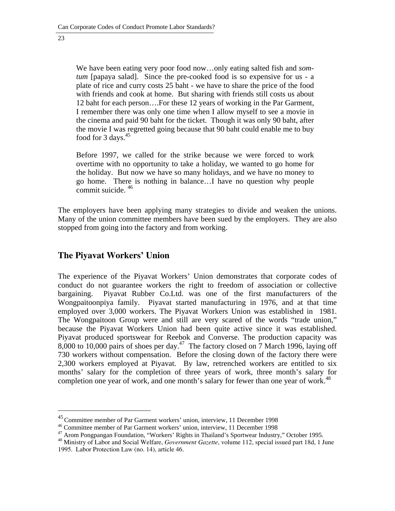l

 We have been eating very poor food now…only eating salted fish and *somtum* [papaya salad]. Since the pre-cooked food is so expensive for us - a plate of rice and curry costs 25 baht - we have to share the price of the food with friends and cook at home. But sharing with friends still costs us about 12 baht for each person….For these 12 years of working in the Par Garment, I remember there was only one time when I allow myself to see a movie in the cinema and paid 90 baht for the ticket. Though it was only 90 baht, after the movie I was regretted going because that 90 baht could enable me to buy food for 3 days. $45$ 

Before 1997, we called for the strike because we were forced to work overtime with no opportunity to take a holiday, we wanted to go home for the holiday. But now we have so many holidays, and we have no money to go home. There is nothing in balance…I have no question why people commit suicide. 46

The employers have been applying many strategies to divide and weaken the unions. Many of the union committee members have been sued by the employers. They are also stopped from going into the factory and from working.

#### **The Piyavat Workers' Union**

The experience of the Piyavat Workers' Union demonstrates that corporate codes of conduct do not guarantee workers the right to freedom of association or collective bargaining. Piyavat Rubber Co.Ltd. was one of the first manufacturers of the Wongpaitoonpiya family. Piyavat started manufacturing in 1976, and at that time employed over 3,000 workers. The Piyavat Workers Union was established in 1981. The Wongpaitoon Group were and still are very scared of the words "trade union," because the Piyavat Workers Union had been quite active since it was established. Piyavat produced sportswear for Reebok and Converse. The production capacity was 8,000 to 10,000 pairs of shoes per day.<sup>47</sup> The factory closed on 7 March 1996, laying off 730 workers without compensation. Before the closing down of the factory there were 2,300 workers employed at Piyavat. By law, retrenched workers are entitled to six months' salary for the completion of three years of work, three month's salary for completion one year of work, and one month's salary for fewer than one year of work.<sup>48</sup>

<sup>&</sup>lt;sup>45</sup> Committee member of Par Garment workers' union, interview, 11 December 1998

<sup>46</sup> Committee member of Par Garment workers' union, interview, 11 December 1998

<sup>47</sup> Arom Pongpangan Foundation, "Workers' Rights in Thailand's Sportwear Industry," October 1995. <sup>48</sup> Ministry of Labor and Social Welfare, *Government Gazette*, volume 112, special issued part 18d, 1 June

<sup>1995.</sup> Labor Protection Law (no. 14), article 46.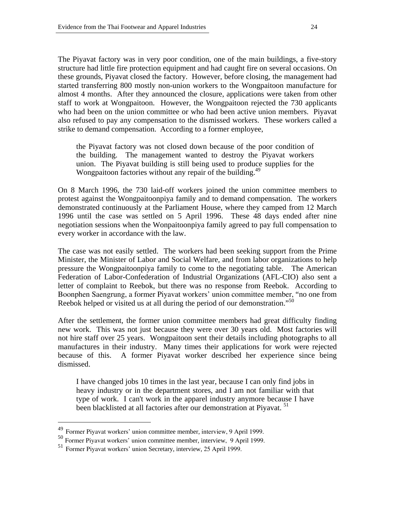The Piyavat factory was in very poor condition, one of the main buildings, a five-story structure had little fire protection equipment and had caught fire on several occasions. On these grounds, Piyavat closed the factory. However, before closing, the management had started transferring 800 mostly non-union workers to the Wongpaitoon manufacture for almost 4 months. After they announced the closure, applications were taken from other staff to work at Wongpaitoon. However, the Wongpaitoon rejected the 730 applicants who had been on the union committee or who had been active union members. Piyavat also refused to pay any compensation to the dismissed workers. These workers called a strike to demand compensation. According to a former employee,

the Piyavat factory was not closed down because of the poor condition of the building. The management wanted to destroy the Piyavat workers union. The Piyavat building is still being used to produce supplies for the Wongpaitoon factories without any repair of the building.<sup>49</sup>

On 8 March 1996, the 730 laid-off workers joined the union committee members to protest against the Wongpaitoonpiya family and to demand compensation. The workers demonstrated continuously at the Parliament House, where they camped from 12 March 1996 until the case was settled on 5 April 1996. These 48 days ended after nine negotiation sessions when the Wonpaitoonpiya family agreed to pay full compensation to every worker in accordance with the law.

The case was not easily settled. The workers had been seeking support from the Prime Minister, the Minister of Labor and Social Welfare, and from labor organizations to help pressure the Wongpaitoonpiya family to come to the negotiating table. The American Federation of Labor-Confederation of Industrial Organizations (AFL-CIO) also sent a letter of complaint to Reebok, but there was no response from Reebok. According to Boonphen Saengrung, a former Piyavat workers' union committee member, "no one from Reebok helped or visited us at all during the period of our demonstration."<sup>50</sup>

After the settlement, the former union committee members had great difficulty finding new work. This was not just because they were over 30 years old. Most factories will not hire staff over 25 years. Wongpaitoon sent their details including photographs to all manufactures in their industry. Many times their applications for work were rejected because of this. A former Piyavat worker described her experience since being dismissed.

I have changed jobs 10 times in the last year, because I can only find jobs in heavy industry or in the department stores, and I am not familiar with that type of work. I can't work in the apparel industry anymore because I have been blacklisted at all factories after our demonstration at Piyavat.<sup>51</sup>

l

<sup>&</sup>lt;sup>49</sup> Former Piyavat workers' union committee member, interview, 9 April 1999.

<sup>50</sup> Former Piyavat workers' union committee member, interview, 9 April 1999.

<sup>51</sup> Former Piyavat workers' union Secretary, interview, 25 April 1999.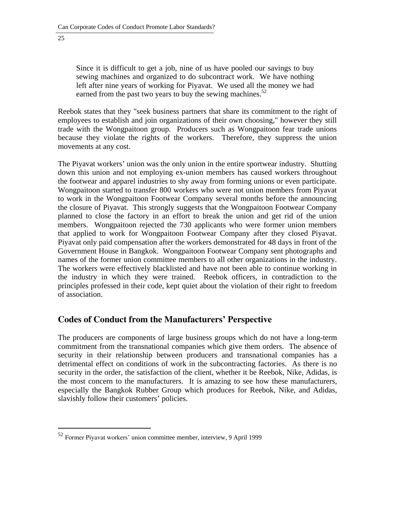Since it is difficult to get a job, nine of us have pooled our savings to buy sewing machines and organized to do subcontract work. We have nothing left after nine years of working for Piyavat. We used all the money we had earned from the past two years to buy the sewing machines.<sup>52</sup>

Reebok states that they "seek business partners that share its commitment to the right of employees to establish and join organizations of their own choosing," however they still trade with the Wongpaitoon group. Producers such as Wongpaitoon fear trade unions because they violate the rights of the workers. Therefore, they suppress the union movements at any cost.

The Piyavat workers' union was the only union in the entire sportwear industry. Shutting down this union and not employing ex-union members has caused workers throughout the footwear and apparel industries to shy away from forming unions or even participate. Wongpaitoon started to transfer 800 workers who were not union members from Piyavat to work in the Wongpaitoon Footwear Company several months before the announcing the closure of Piyavat. This strongly suggests that the Wongpaitoon Footwear Company planned to close the factory in an effort to break the union and get rid of the union members. Wongpaitoon rejected the 730 applicants who were former union members that applied to work for Wongpaitoon Footwear Company after they closed Piyavat. Piyavat only paid compensation after the workers demonstrated for 48 days in front of the Government House in Bangkok. Wongpaitoon Footwear Company sent photographs and names of the former union committee members to all other organizations in the industry. The workers were effectively blacklisted and have not been able to continue working in the industry in which they were trained. Reebok officers, in contradiction to the principles professed in their code, kept quiet about the violation of their right to freedom of association.

## **Codes of Conduct from the Manufacturers' Perspective**

The producers are components of large business groups which do not have a long-term commitment from the transnational companies which give them orders. The absence of security in their relationship between producers and transnational companies has a detrimental effect on conditions of work in the subcontracting factories. As there is no security in the order, the satisfaction of the client, whether it be Reebok, Nike, Adidas, is the most concern to the manufacturers. It is amazing to see how these manufacturers, especially the Bangkok Rubber Group which produces for Reebok, Nike, and Adidas, slavishly follow their customers' policies.

 $52$  Former Piyavat workers' union committee member, interview, 9 April 1999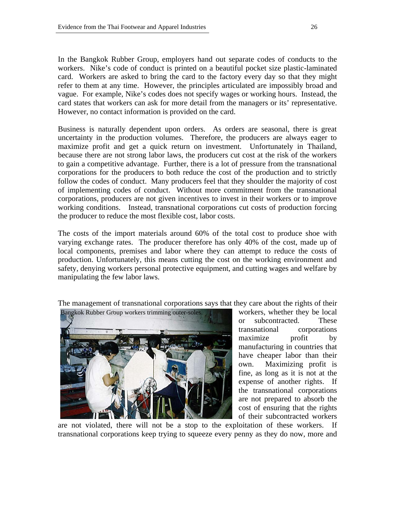In the Bangkok Rubber Group, employers hand out separate codes of conducts to the workers. Nike's code of conduct is printed on a beautiful pocket size plastic-laminated card. Workers are asked to bring the card to the factory every day so that they might refer to them at any time. However, the principles articulated are impossibly broad and vague. For example, Nike's codes does not specify wages or working hours. Instead, the card states that workers can ask for more detail from the managers or its' representative. However, no contact information is provided on the card.

Business is naturally dependent upon orders. As orders are seasonal, there is great uncertainty in the production volumes. Therefore, the producers are always eager to maximize profit and get a quick return on investment. Unfortunately in Thailand, because there are not strong labor laws, the producers cut cost at the risk of the workers to gain a competitive advantage. Further, there is a lot of pressure from the transnational corporations for the producers to both reduce the cost of the production and to strictly follow the codes of conduct. Many producers feel that they shoulder the majority of cost of implementing codes of conduct. Without more commitment from the transnational corporations, producers are not given incentives to invest in their workers or to improve working conditions. Instead, transnational corporations cut costs of production forcing the producer to reduce the most flexible cost, labor costs.

The costs of the import materials around 60% of the total cost to produce shoe with varying exchange rates. The producer therefore has only 40% of the cost, made up of local components, premises and labor where they can attempt to reduce the costs of production. Unfortunately, this means cutting the cost on the working environment and safety, denying workers personal protective equipment, and cutting wages and welfare by manipulating the few labor laws.

The management of transnational corporations says that they care about the rights of their



workers, whether they be local or subcontracted. These transnational corporations maximize profit by manufacturing in countries that have cheaper labor than their own. Maximizing profit is fine, as long as it is not at the expense of another rights. If the transnational corporations are not prepared to absorb the cost of ensuring that the rights of their subcontracted workers

are not violated, there will not be a stop to the exploitation of these workers. If transnational corporations keep trying to squeeze every penny as they do now, more and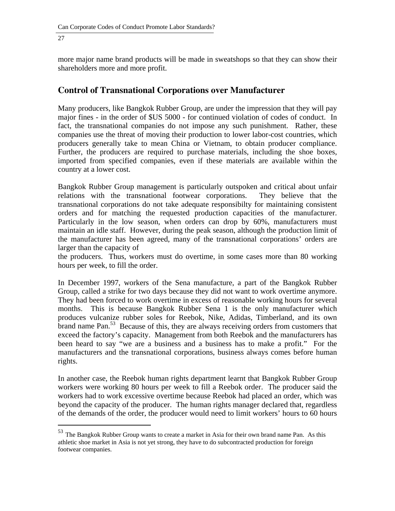l

more major name brand products will be made in sweatshops so that they can show their shareholders more and more profit.

#### **Control of Transnational Corporations over Manufacturer**

Many producers, like Bangkok Rubber Group, are under the impression that they will pay major fines - in the order of \$US 5000 - for continued violation of codes of conduct. In fact, the transnational companies do not impose any such punishment. Rather, these companies use the threat of moving their production to lower labor-cost countries, which producers generally take to mean China or Vietnam, to obtain producer compliance. Further, the producers are required to purchase materials, including the shoe boxes, imported from specified companies, even if these materials are available within the country at a lower cost.

Bangkok Rubber Group management is particularly outspoken and critical about unfair relations with the transnational footwear corporations. They believe that the transnational corporations do not take adequate responsibilty for maintaining consistent orders and for matching the requested production capacities of the manufacturer. Particularly in the low season, when orders can drop by 60%, manufacturers must maintain an idle staff. However, during the peak season, although the production limit of the manufacturer has been agreed, many of the transnational corporations' orders are larger than the capacity of

the producers. Thus, workers must do overtime, in some cases more than 80 working hours per week, to fill the order.

In December 1997, workers of the Sena manufacture, a part of the Bangkok Rubber Group, called a strike for two days because they did not want to work overtime anymore. They had been forced to work overtime in excess of reasonable working hours for several months. This is because Bangkok Rubber Sena 1 is the only manufacturer which produces vulcanize rubber soles for Reebok, Nike, Adidas, Timberland, and its own brand name Pan.<sup>53</sup> Because of this, they are always receiving orders from customers that exceed the factory's capacity. Management from both Reebok and the manufacturers has been heard to say "we are a business and a business has to make a profit." For the manufacturers and the transnational corporations, business always comes before human rights.

In another case, the Reebok human rights department learnt that Bangkok Rubber Group workers were working 80 hours per week to fill a Reebok order. The producer said the workers had to work excessive overtime because Reebok had placed an order, which was beyond the capacity of the producer. The human rights manager declared that, regardless of the demands of the order, the producer would need to limit workers' hours to 60 hours

<sup>&</sup>lt;sup>53</sup> The Bangkok Rubber Group wants to create a market in Asia for their own brand name Pan. As this athletic shoe market in Asia is not yet strong, they have to do subcontracted production for foreign footwear companies.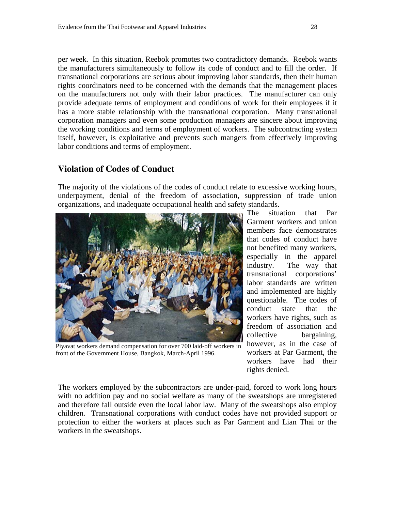per week. In this situation, Reebok promotes two contradictory demands. Reebok wants the manufacturers simultaneously to follow its code of conduct and to fill the order. If transnational corporations are serious about improving labor standards, then their human rights coordinators need to be concerned with the demands that the management places on the manufacturers not only with their labor practices. The manufacturer can only provide adequate terms of employment and conditions of work for their employees if it has a more stable relationship with the transnational corporation. Many transnational corporation managers and even some production managers are sincere about improving the working conditions and terms of employment of workers. The subcontracting system itself, however, is exploitative and prevents such mangers from effectively improving labor conditions and terms of employment.

## **Violation of Codes of Conduct**

The majority of the violations of the codes of conduct relate to excessive working hours, underpayment, denial of the freedom of association, suppression of trade union organizations, and inadequate occupational health and safety standards.



Piyavat workers demand compensation for over 700 laid-off workers in front of the Government House, Bangkok, March-April 1996.

The situation that Par Garment workers and union members face demonstrates that codes of conduct have not benefited many workers, especially in the apparel industry. The way that transnational corporations' labor standards are written and implemented are highly questionable. The codes of conduct state that the workers have rights, such as freedom of association and collective bargaining, however, as in the case of workers at Par Garment, the workers have had their rights denied.

The workers employed by the subcontractors are under-paid, forced to work long hours with no addition pay and no social welfare as many of the sweatshops are unregistered and therefore fall outside even the local labor law. Many of the sweatshops also employ children. Transnational corporations with conduct codes have not provided support or protection to either the workers at places such as Par Garment and Lian Thai or the workers in the sweatshops.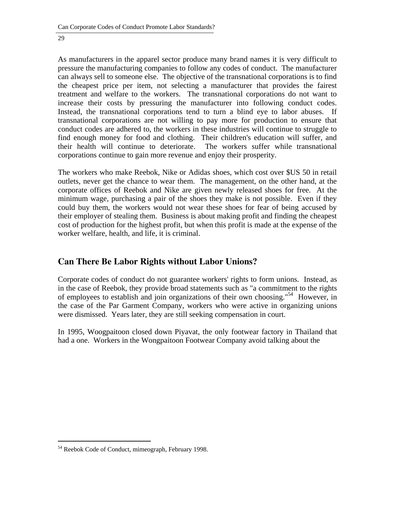As manufacturers in the apparel sector produce many brand names it is very difficult to pressure the manufacturing companies to follow any codes of conduct. The manufacturer can always sell to someone else. The objective of the transnational corporations is to find the cheapest price per item, not selecting a manufacturer that provides the fairest treatment and welfare to the workers. The transnational corporations do not want to increase their costs by pressuring the manufacturer into following conduct codes. Instead, the transnational corporations tend to turn a blind eye to labor abuses. If transnational corporations are not willing to pay more for production to ensure that conduct codes are adhered to, the workers in these industries will continue to struggle to find enough money for food and clothing. Their children's education will suffer, and their health will continue to deteriorate. The workers suffer while transnational corporations continue to gain more revenue and enjoy their prosperity.

The workers who make Reebok, Nike or Adidas shoes, which cost over \$US 50 in retail outlets, never get the chance to wear them. The management, on the other hand, at the corporate offices of Reebok and Nike are given newly released shoes for free. At the minimum wage, purchasing a pair of the shoes they make is not possible. Even if they could buy them, the workers would not wear these shoes for fear of being accused by their employer of stealing them. Business is about making profit and finding the cheapest cost of production for the highest profit, but when this profit is made at the expense of the worker welfare, health, and life, it is criminal.

## **Can There Be Labor Rights without Labor Unions?**

Corporate codes of conduct do not guarantee workers' rights to form unions. Instead, as in the case of Reebok, they provide broad statements such as "a commitment to the rights of employees to establish and join organizations of their own choosing."54 However, in the case of the Par Garment Company, workers who were active in organizing unions were dismissed. Years later, they are still seeking compensation in court.

In 1995, Woogpaitoon closed down Piyavat, the only footwear factory in Thailand that had a one. Workers in the Wongpaitoon Footwear Company avoid talking about the

l 54 Reebok Code of Conduct, mimeograph, February 1998.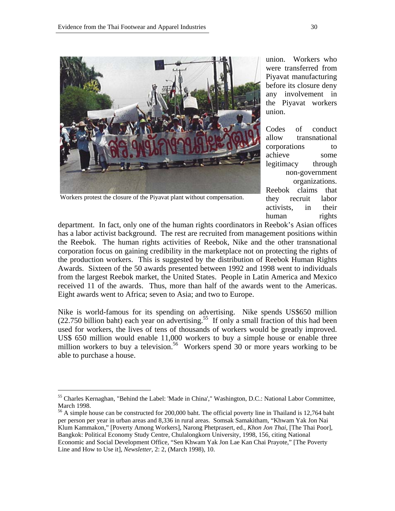

Workers protest the closure of the Piyavat plant without compensation.

union. Workers who were transferred from Piyavat manufacturing before its closure deny any involvement in the Piyavat workers union.

Codes of conduct allow transnational corporations to achieve some legitimacy through non-government organizations. Reebok claims that they recruit labor activists, in their human rights

department. In fact, only one of the human rights coordinators in Reebok's Asian offices has a labor activist background. The rest are recruited from management positions within the Reebok. The human rights activities of Reebok, Nike and the other transnational corporation focus on gaining credibility in the marketplace not on protecting the rights of the production workers. This is suggested by the distribution of Reebok Human Rights Awards. Sixteen of the 50 awards presented between 1992 and 1998 went to individuals from the largest Reebok market, the United States. People in Latin America and Mexico received 11 of the awards. Thus, more than half of the awards went to the Americas. Eight awards went to Africa; seven to Asia; and two to Europe.

Nike is world-famous for its spending on advertising. Nike spends US\$650 million (22.750 billion baht) each year on advertising.<sup>55</sup> If only a small fraction of this had been used for workers, the lives of tens of thousands of workers would be greatly improved. US\$ 650 million would enable 11,000 workers to buy a simple house or enable three million workers to buy a television.<sup>56</sup> Workers spend 30 or more years working to be able to purchase a house.

<sup>55</sup> Charles Kernaghan, "Behind the Label: 'Made in China'," Washington, D.C.: National Labor Committee, March 1998.

<sup>&</sup>lt;sup>56</sup> A simple house can be constructed for 200,000 baht. The official poverty line in Thailand is 12,764 baht per person per year in urban areas and 8,336 in rural areas. Somsak Samakitham, "Khwam Yak Jon Nai Klum Kammakon," [Poverty Among Workers], Narong Phetprasert, ed., *Khon Jon Thai*, [The Thai Poor], Bangkok: Political Economy Study Centre, Chulalongkorn University, 1998, 156, citing National Economic and Social Development Office, "Sen Khwam Yak Jon Lae Kan Chai Prayote," [The Poverty Line and How to Use it], *Newsletter*, 2: 2, (March 1998), 10.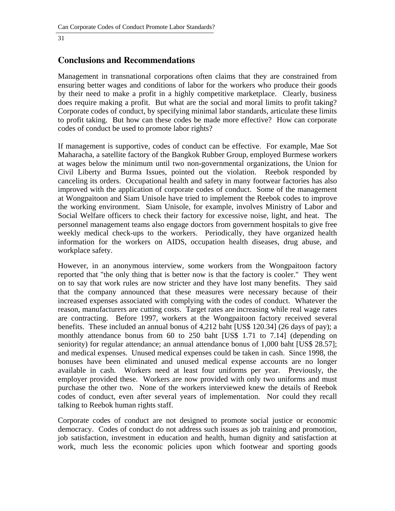#### **Conclusions and Recommendations**

Management in transnational corporations often claims that they are constrained from ensuring better wages and conditions of labor for the workers who produce their goods by their need to make a profit in a highly competitive marketplace. Clearly, business does require making a profit. But what are the social and moral limits to profit taking? Corporate codes of conduct, by specifying minimal labor standards, articulate these limits to profit taking. But how can these codes be made more effective? How can corporate codes of conduct be used to promote labor rights?

If management is supportive, codes of conduct can be effective. For example, Mae Sot Maharacha, a satellite factory of the Bangkok Rubber Group, employed Burmese workers at wages below the minimum until two non-governmental organizations, the Union for Civil Liberty and Burma Issues, pointed out the violation. Reebok responded by canceling its orders. Occupational health and safety in many footwear factories has also improved with the application of corporate codes of conduct. Some of the management at Wongpaitoon and Siam Unisole have tried to implement the Reebok codes to improve the working environment. Siam Unisole, for example, involves Ministry of Labor and Social Welfare officers to check their factory for excessive noise, light, and heat. The personnel management teams also engage doctors from government hospitals to give free weekly medical check-ups to the workers. Periodically, they have organized health information for the workers on AIDS, occupation health diseases, drug abuse, and workplace safety.

However, in an anonymous interview, some workers from the Wongpaitoon factory reported that "the only thing that is better now is that the factory is cooler." They went on to say that work rules are now stricter and they have lost many benefits. They said that the company announced that these measures were necessary because of their increased expenses associated with complying with the codes of conduct. Whatever the reason, manufacturers are cutting costs. Target rates are increasing while real wage rates are contracting. Before 1997, workers at the Wongpaitoon factory received several benefits. These included an annual bonus of 4,212 baht [US\$ 120.34] (26 days of pay); a monthly attendance bonus from 60 to 250 baht [US\$ 1.71 to 7.14] (depending on seniority) for regular attendance; an annual attendance bonus of 1,000 baht [US\$ 28.57]; and medical expenses. Unused medical expenses could be taken in cash. Since 1998, the bonuses have been eliminated and unused medical expense accounts are no longer available in cash. Workers need at least four uniforms per year. Previously, the employer provided these. Workers are now provided with only two uniforms and must purchase the other two. None of the workers interviewed knew the details of Reebok codes of conduct, even after several years of implementation. Nor could they recall talking to Reebok human rights staff.

Corporate codes of conduct are not designed to promote social justice or economic democracy. Codes of conduct do not address such issues as job training and promotion, job satisfaction, investment in education and health, human dignity and satisfaction at work, much less the economic policies upon which footwear and sporting goods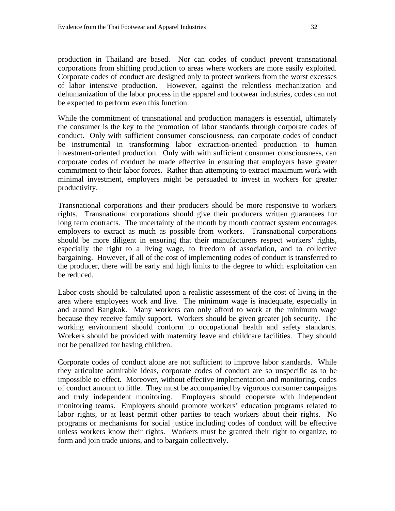production in Thailand are based. Nor can codes of conduct prevent transnational corporations from shifting production to areas where workers are more easily exploited. Corporate codes of conduct are designed only to protect workers from the worst excesses of labor intensive production. However, against the relentless mechanization and dehumanization of the labor process in the apparel and footwear industries, codes can not be expected to perform even this function.

While the commitment of transnational and production managers is essential, ultimately the consumer is the key to the promotion of labor standards through corporate codes of conduct. Only with sufficient consumer consciousness, can corporate codes of conduct be instrumental in transforming labor extraction-oriented production to human investment-oriented production. Only with with sufficient consumer consciousness, can corporate codes of conduct be made effective in ensuring that employers have greater commitment to their labor forces. Rather than attempting to extract maximum work with minimal investment, employers might be persuaded to invest in workers for greater productivity.

Transnational corporations and their producers should be more responsive to workers rights. Transnational corporations should give their producers written guarantees for long term contracts. The uncertainty of the month by month contract system encourages employers to extract as much as possible from workers. Transnational corporations should be more diligent in ensuring that their manufacturers respect workers' rights, especially the right to a living wage, to freedom of association, and to collective bargaining. However, if all of the cost of implementing codes of conduct is transferred to the producer, there will be early and high limits to the degree to which exploitation can be reduced.

Labor costs should be calculated upon a realistic assessment of the cost of living in the area where employees work and live. The minimum wage is inadequate, especially in and around Bangkok. Many workers can only afford to work at the minimum wage because they receive family support. Workers should be given greater job security. The working environment should conform to occupational health and safety standards. Workers should be provided with maternity leave and childcare facilities. They should not be penalized for having children.

Corporate codes of conduct alone are not sufficient to improve labor standards. While they articulate admirable ideas, corporate codes of conduct are so unspecific as to be impossible to effect. Moreover, without effective implementation and monitoring, codes of conduct amount to little. They must be accompanied by vigorous consumer campaigns and truly independent monitoring. Employers should cooperate with independent monitoring teams. Employers should promote workers' education programs related to labor rights, or at least permit other parties to teach workers about their rights. No programs or mechanisms for social justice including codes of conduct will be effective unless workers know their rights. Workers must be granted their right to organize, to form and join trade unions, and to bargain collectively.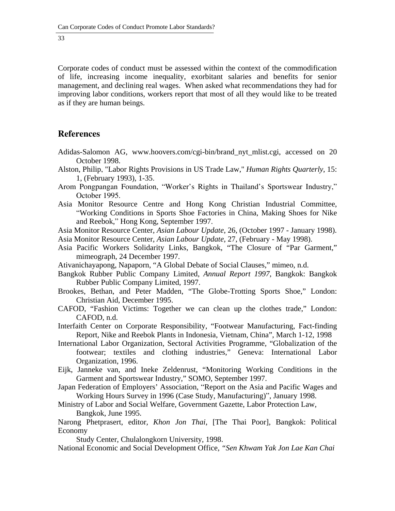Corporate codes of conduct must be assessed within the context of the commodification of life, increasing income inequality, exorbitant salaries and benefits for senior management, and declining real wages. When asked what recommendations they had for improving labor conditions, workers report that most of all they would like to be treated as if they are human beings.

#### **References**

- Adidas-Salomon AG, www.hoovers.com/cgi-bin/brand\_nyt\_mlist.cgi, accessed on 20 October 1998.
- Alston, Philip, "Labor Rights Provisions in US Trade Law," *Human Rights Quarterly*, 15: 1, (February 1993), 1-35.
- Arom Pongpangan Foundation, "Worker's Rights in Thailand's Sportswear Industry," October 1995.
- Asia Monitor Resource Centre and Hong Kong Christian Industrial Committee, "Working Conditions in Sports Shoe Factories in China, Making Shoes for Nike and Reebok," Hong Kong, September 1997.
- Asia Monitor Resource Center, *Asian Labour Update*, 26, (October 1997 January 1998).
- Asia Monitor Resource Center, *Asian Labour Update*, 27, (February May 1998).
- Asia Pacific Workers Solidarity Links, Bangkok, "The Closure of "Par Garment," mimeograph, 24 December 1997.
- Ativanichayapong, Napaporn, "A Global Debate of Social Clauses," mimeo, n.d.
- Bangkok Rubber Public Company Limited*, Annual Report 1997*, Bangkok: Bangkok Rubber Public Company Limited, 1997.
- Brookes, Bethan, and Peter Madden, "The Globe-Trotting Sports Shoe," London: Christian Aid, December 1995.
- CAFOD, "Fashion Victims: Together we can clean up the clothes trade," London: CAFOD, n.d.

Interfaith Center on Corporate Responsibility, "Footwear Manufacturing, Fact-finding Report, Nike and Reebok Plants in Indonesia, Vietnam, China", March 1-12, 1998

- International Labor Organization, Sectoral Activities Programme, "Globalization of the footwear; textiles and clothing industries," Geneva: International Labor Organization, 1996.
- Eijk, Janneke van, and Ineke Zeldenrust, "Monitoring Working Conditions in the Garment and Sportswear Industry," SOMO, September 1997.
- Japan Federation of Employers' Association, "Report on the Asia and Pacific Wages and Working Hours Survey in 1996 (Case Study, Manufacturing)", January 1998.

Ministry of Labor and Social Welfare, Government Gazette, Labor Protection Law, Bangkok, June 1995.

Narong Phetprasert, editor*, Khon Jon Thai*, [The Thai Poor], Bangkok: Political Economy

Study Center, Chulalongkorn University, 1998.

National Economic and Social Development Office, *"Sen Khwam Yak Jon Lae Kan Chai*